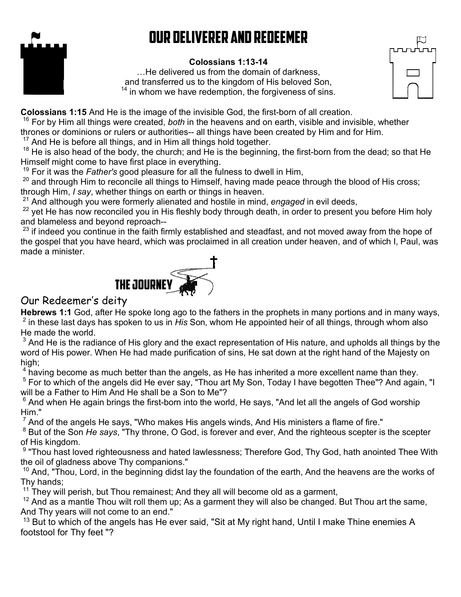# Our Deliverer and Redeemer



#### **Colossians 1:13-14**

…He delivered us from the domain of darkness, and transferred us to the kingdom of His beloved Son,  $14$  in whom we have redemption, the forgiveness of sins.



**Colossians 1:15** And He is the image of the invisible God, the first-born of all creation.

<sup>16</sup> For by Him all things were created, *both* in the heavens and on earth, visible and invisible, whether

thrones or dominions or rulers or authorities-- all things have been created by Him and for Him.

 $17$  And He is before all things, and in Him all things hold together.

<sup>18</sup> He is also head of the body, the church; and He is the beginning, the first-born from the dead; so that He Himself might come to have first place in everything.

<sup>19</sup> For it was the *Father's* good pleasure for all the fulness to dwell in Him,

 $20$  and through Him to reconcile all things to Himself, having made peace through the blood of His cross; through Him, *I say*, whether things on earth or things in heaven.

<sup>21</sup> And although you were formerly alienated and hostile in mind, *engaged* in evil deeds,

yet He has now reconciled you in His fleshly body through death, in order to present you before Him holy and blameless and beyond reproach--

 $^{23}$  if indeed you continue in the faith firmly established and steadfast, and not moved away from the hope of the gospel that you have heard, which was proclaimed in all creation under heaven, and of which I, Paul, was made a minister.



# Our Redeemer's deity

**Hebrews 1:1** God, after He spoke long ago to the fathers in the prophets in many portions and in many ways, 2 in these last days has spoken to us in *His* Son, whom He appointed heir of all things, through whom also He made the world.

 $^{\rm 3}$  And He is the radiance of His glory and the exact representation of His nature, and upholds all things by the word of His power. When He had made purification of sins, He sat down at the right hand of the Majesty on high<sup>-</sup>

 $^4$  having become as much better than the angels, as He has inherited a more excellent name than they.

 $^5$  For to which of the angels did He ever say, "Thou art My Son, Today I have begotten Thee"? And again, "I will be a Father to Him And He shall be a Son to Me"?

 $^6$  And when He again brings the first-born into the world, He says, "And let all the angels of God worship  $\,$ Him."

 $^7$  And of the angels He says, "Who makes His angels winds, And His ministers a flame of fire."  $\,$ 

 $^8$  But of the Son *He says*, "Thy throne, O God, is forever and ever, And the righteous scepter is the scepter of His kingdom.

 $^9$  "Thou hast loved righteousness and hated lawlessness; Therefore God, Thy God, hath anointed Thee With the oil of gladness above Thy companions."

 $10$  And, "Thou, Lord, in the beginning didst lay the foundation of the earth, And the heavens are the works of Thy hands;

 $11$  They will perish, but Thou remainest; And they all will become old as a garment,

 $12$  And as a mantle Thou wilt roll them up; As a garment they will also be changed. But Thou art the same, And Thy years will not come to an end."

 $13$  But to which of the angels has He ever said, "Sit at My right hand, Until I make Thine enemies A footstool for Thy feet "?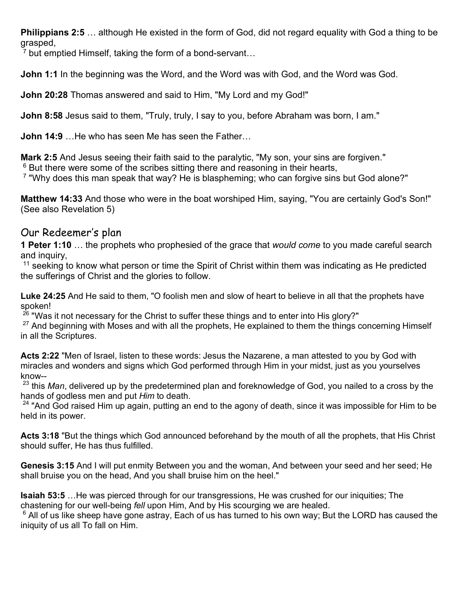**Philippians 2:5** … although He existed in the form of God, did not regard equality with God a thing to be grasped,

<sup>7</sup> but emptied Himself, taking the form of a bond-servant...

**John 1:1** In the beginning was the Word, and the Word was with God, and the Word was God.

**John 20:28** Thomas answered and said to Him, "My Lord and my God!"

**John 8:58** Jesus said to them, "Truly, truly, I say to you, before Abraham was born, I am."

**John 14:9** …He who has seen Me has seen the Father…

**Mark 2:5** And Jesus seeing their faith said to the paralytic, "My son, your sins are forgiven."

 $6$  But there were some of the scribes sitting there and reasoning in their hearts,

 $\mathrm{^{7}}$  "Why does this man speak that way? He is blaspheming; who can forgive sins but God alone?"

**Matthew 14:33** And those who were in the boat worshiped Him, saying, "You are certainly God's Son!" (See also Revelation 5)

## Our Redeemer's plan

**1 Peter 1:10** … the prophets who prophesied of the grace that *would come* to you made careful search and inquiry,

 $11$  seeking to know what person or time the Spirit of Christ within them was indicating as He predicted the sufferings of Christ and the glories to follow.

**Luke 24:25** And He said to them, "O foolish men and slow of heart to believe in all that the prophets have spoken!

 $26$  "Was it not necessary for the Christ to suffer these things and to enter into His glory?"

 $27$  And beginning with Moses and with all the prophets, He explained to them the things concerning Himself in all the Scriptures.

**Acts 2:22** "Men of Israel, listen to these words: Jesus the Nazarene, a man attested to you by God with miracles and wonders and signs which God performed through Him in your midst, just as you yourselves know--

<sup>23</sup> this *Man*, delivered up by the predetermined plan and foreknowledge of God, you nailed to a cross by the hands of godless men and put *Him* to death.

 $24$  "And God raised Him up again, putting an end to the agony of death, since it was impossible for Him to be held in its power.

**Acts 3:18** "But the things which God announced beforehand by the mouth of all the prophets, that His Christ should suffer, He has thus fulfilled.

**Genesis 3:15** And I will put enmity Between you and the woman, And between your seed and her seed; He shall bruise you on the head, And you shall bruise him on the heel."

**Isaiah 53:5** …He was pierced through for our transgressions, He was crushed for our iniquities; The chastening for our well-being *fell* upon Him, And by His scourging we are healed.

 $^6$  All of us like sheep have gone astray, Each of us has turned to his own way; But the LORD has caused the iniquity of us all To fall on Him.